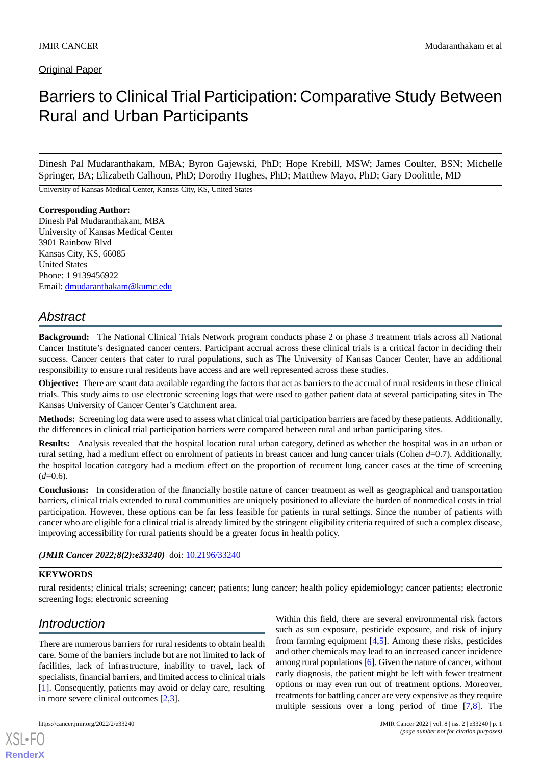**Original Paper** 

# Barriers to Clinical Trial Participation: Comparative Study Between Rural and Urban Participants

Dinesh Pal Mudaranthakam, MBA; Byron Gajewski, PhD; Hope Krebill, MSW; James Coulter, BSN; Michelle Springer, BA; Elizabeth Calhoun, PhD; Dorothy Hughes, PhD; Matthew Mayo, PhD; Gary Doolittle, MD

University of Kansas Medical Center, Kansas City, KS, United States

### **Corresponding Author:**

Dinesh Pal Mudaranthakam, MBA University of Kansas Medical Center 3901 Rainbow Blvd Kansas City, KS, 66085 United States Phone: 1 9139456922 Email: [dmudaranthakam@kumc.edu](mailto:dmudaranthakam@kumc.edu)

## *Abstract*

**Background:** The National Clinical Trials Network program conducts phase 2 or phase 3 treatment trials across all National Cancer Institute's designated cancer centers. Participant accrual across these clinical trials is a critical factor in deciding their success. Cancer centers that cater to rural populations, such as The University of Kansas Cancer Center, have an additional responsibility to ensure rural residents have access and are well represented across these studies.

**Objective:** There are scant data available regarding the factors that act as barriers to the accrual of rural residents in these clinical trials. This study aims to use electronic screening logs that were used to gather patient data at several participating sites in The Kansas University of Cancer Center's Catchment area.

**Methods:** Screening log data were used to assess what clinical trial participation barriers are faced by these patients. Additionally, the differences in clinical trial participation barriers were compared between rural and urban participating sites.

**Results:** Analysis revealed that the hospital location rural urban category, defined as whether the hospital was in an urban or rural setting, had a medium effect on enrolment of patients in breast cancer and lung cancer trials (Cohen *d*=0.7). Additionally, the hospital location category had a medium effect on the proportion of recurrent lung cancer cases at the time of screening  $(d=0.6)$ .

**Conclusions:** In consideration of the financially hostile nature of cancer treatment as well as geographical and transportation barriers, clinical trials extended to rural communities are uniquely positioned to alleviate the burden of nonmedical costs in trial participation. However, these options can be far less feasible for patients in rural settings. Since the number of patients with cancer who are eligible for a clinical trial is already limited by the stringent eligibility criteria required of such a complex disease, improving accessibility for rural patients should be a greater focus in health policy.

### *(JMIR Cancer 2022;8(2):e33240)* doi: [10.2196/33240](http://dx.doi.org/10.2196/33240)

## **KEYWORDS**

rural residents; clinical trials; screening; cancer; patients; lung cancer; health policy epidemiology; cancer patients; electronic screening logs; electronic screening

## *Introduction*

There are numerous barriers for rural residents to obtain health care. Some of the barriers include but are not limited to lack of facilities, lack of infrastructure, inability to travel, lack of specialists, financial barriers, and limited access to clinical trials [[1\]](#page-5-0). Consequently, patients may avoid or delay care, resulting in more severe clinical outcomes [[2,](#page-5-1)[3](#page-5-2)].

[XSL](http://www.w3.org/Style/XSL)•FO **[RenderX](http://www.renderx.com/)**

Within this field, there are several environmental risk factors such as sun exposure, pesticide exposure, and risk of injury from farming equipment [[4,](#page-6-0)[5](#page-6-1)]. Among these risks, pesticides and other chemicals may lead to an increased cancer incidence among rural populations [\[6](#page-6-2)]. Given the nature of cancer, without early diagnosis, the patient might be left with fewer treatment options or may even run out of treatment options. Moreover, treatments for battling cancer are very expensive as they require multiple sessions over a long period of time [[7](#page-6-3)[,8](#page-6-4)]. The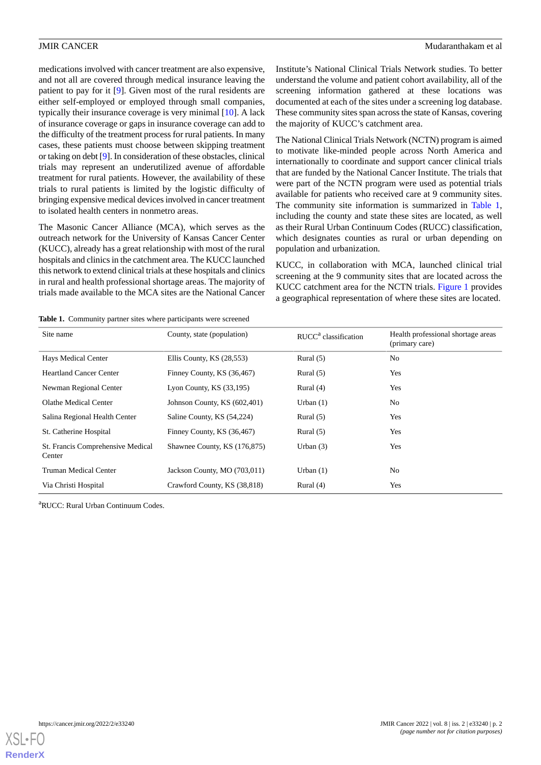medications involved with cancer treatment are also expensive, and not all are covered through medical insurance leaving the patient to pay for it [\[9](#page-6-5)]. Given most of the rural residents are either self-employed or employed through small companies, typically their insurance coverage is very minimal [\[10](#page-6-6)]. A lack of insurance coverage or gaps in insurance coverage can add to the difficulty of the treatment process for rural patients. In many cases, these patients must choose between skipping treatment or taking on debt [\[9\]](#page-6-5). In consideration of these obstacles, clinical trials may represent an underutilized avenue of affordable treatment for rural patients. However, the availability of these trials to rural patients is limited by the logistic difficulty of bringing expensive medical devices involved in cancer treatment to isolated health centers in nonmetro areas.

The Masonic Cancer Alliance (MCA), which serves as the outreach network for the University of Kansas Cancer Center (KUCC), already has a great relationship with most of the rural hospitals and clinics in the catchment area. The KUCC launched this network to extend clinical trials at these hospitals and clinics in rural and health professional shortage areas. The majority of trials made available to the MCA sites are the National Cancer Institute's National Clinical Trials Network studies. To better understand the volume and patient cohort availability, all of the screening information gathered at these locations was documented at each of the sites under a screening log database. These community sites span across the state of Kansas, covering the majority of KUCC's catchment area.

The National Clinical Trials Network (NCTN) program is aimed to motivate like-minded people across North America and internationally to coordinate and support cancer clinical trials that are funded by the National Cancer Institute. The trials that were part of the NCTN program were used as potential trials available for patients who received care at 9 community sites. The community site information is summarized in [Table 1](#page-1-0), including the county and state these sites are located, as well as their Rural Urban Continuum Codes (RUCC) classification, which designates counties as rural or urban depending on population and urbanization.

KUCC, in collaboration with MCA, launched clinical trial screening at the 9 community sites that are located across the KUCC catchment area for the NCTN trials. [Figure 1](#page-2-0) provides a geographical representation of where these sites are located.

<span id="page-1-0"></span>**Table 1.** Community partner sites where participants were screened

| Site name                                   | County, state (population)   | $RUCCa$ classification | Health professional shortage areas<br>(primary care) |
|---------------------------------------------|------------------------------|------------------------|------------------------------------------------------|
| Hays Medical Center                         | Ellis County, KS (28,553)    | Rural $(5)$            | No                                                   |
| <b>Heartland Cancer Center</b>              | Finney County, KS (36,467)   | Rural $(5)$            | Yes                                                  |
| Newman Regional Center                      | Lyon County, $KS(33,195)$    | Rural $(4)$            | Yes                                                  |
| Olathe Medical Center                       | Johnson County, KS (602,401) | Urban $(1)$            | No                                                   |
| Salina Regional Health Center               | Saline County, KS (54,224)   | Rural $(5)$            | Yes                                                  |
| St. Catherine Hospital                      | Finney County, KS (36,467)   | Rural $(5)$            | Yes                                                  |
| St. Francis Comprehensive Medical<br>Center | Shawnee County, KS (176,875) | Urban $(3)$            | Yes                                                  |
| Truman Medical Center                       | Jackson County, MO (703,011) | Urban $(1)$            | No                                                   |
| Via Christi Hospital                        | Crawford County, KS (38,818) | Rural $(4)$            | Yes                                                  |

<sup>a</sup>RUCC: Rural Urban Continuum Codes.

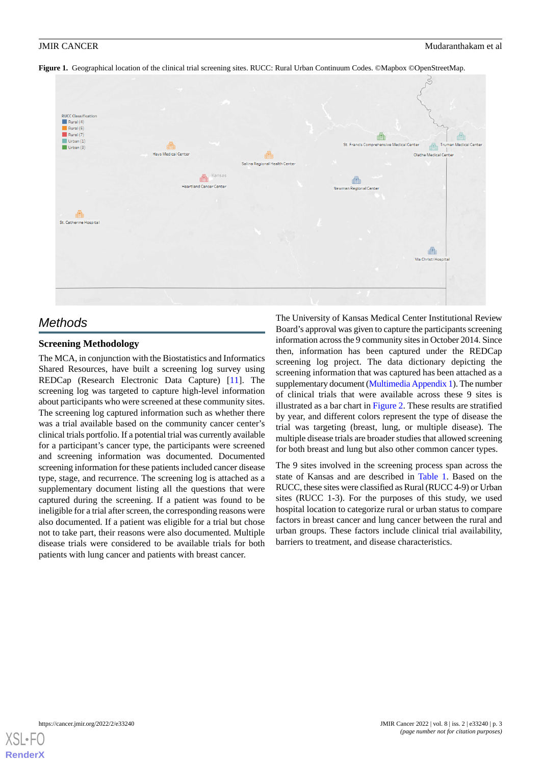<span id="page-2-0"></span>



## *Methods*

## **Screening Methodology**

The MCA, in conjunction with the Biostatistics and Informatics Shared Resources, have built a screening log survey using REDCap (Research Electronic Data Capture) [\[11](#page-6-7)]. The screening log was targeted to capture high-level information about participants who were screened at these community sites. The screening log captured information such as whether there was a trial available based on the community cancer center's clinical trials portfolio. If a potential trial was currently available for a participant's cancer type, the participants were screened and screening information was documented. Documented screening information for these patients included cancer disease type, stage, and recurrence. The screening log is attached as a supplementary document listing all the questions that were captured during the screening. If a patient was found to be ineligible for a trial after screen, the corresponding reasons were also documented. If a patient was eligible for a trial but chose not to take part, their reasons were also documented. Multiple disease trials were considered to be available trials for both patients with lung cancer and patients with breast cancer.

The University of Kansas Medical Center Institutional Review Board's approval was given to capture the participants screening information across the 9 community sites in October 2014. Since then, information has been captured under the REDCap screening log project. The data dictionary depicting the screening information that was captured has been attached as a supplementary document [\(Multimedia Appendix 1](#page-5-3)). The number of clinical trials that were available across these 9 sites is illustrated as a bar chart in [Figure 2.](#page-3-0) These results are stratified by year, and different colors represent the type of disease the trial was targeting (breast, lung, or multiple disease). The multiple disease trials are broader studies that allowed screening for both breast and lung but also other common cancer types.

The 9 sites involved in the screening process span across the state of Kansas and are described in [Table 1](#page-1-0). Based on the RUCC, these sites were classified as Rural (RUCC 4-9) or Urban sites (RUCC 1-3). For the purposes of this study, we used hospital location to categorize rural or urban status to compare factors in breast cancer and lung cancer between the rural and urban groups. These factors include clinical trial availability, barriers to treatment, and disease characteristics.

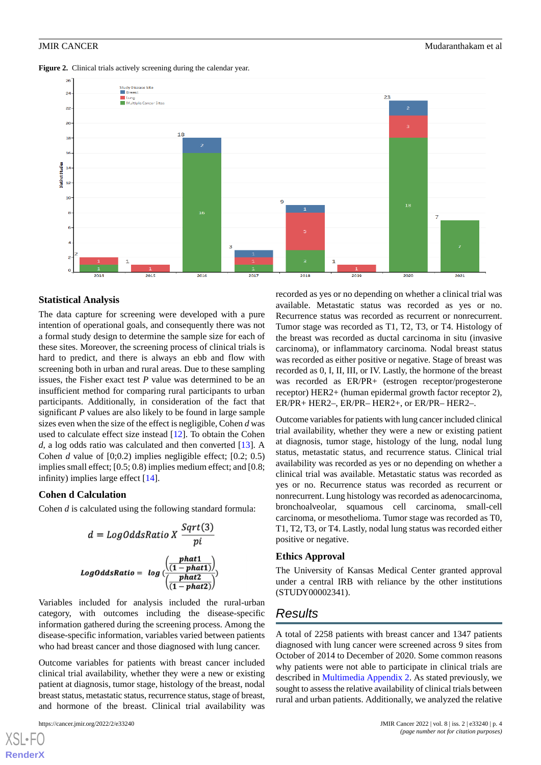<span id="page-3-0"></span>Figure 2. Clinical trials actively screening during the calendar year.



### **Statistical Analysis**

The data capture for screening were developed with a pure intention of operational goals, and consequently there was not a formal study design to determine the sample size for each of these sites. Moreover, the screening process of clinical trials is hard to predict, and there is always an ebb and flow with screening both in urban and rural areas. Due to these sampling issues, the Fisher exact test *P* value was determined to be an insufficient method for comparing rural participants to urban participants. Additionally, in consideration of the fact that significant *P* values are also likely to be found in large sample sizes even when the size of the effect is negligible, Cohen *d* was used to calculate effect size instead [[12\]](#page-6-8). To obtain the Cohen *d*, a log odds ratio was calculated and then converted [[13\]](#page-6-9). A Cohen *d* value of [0;0.2) implies negligible effect; [0.2; 0.5) implies small effect; [0.5; 0.8) implies medium effect; and [0.8; infinity) implies large effect [\[14](#page-6-10)].

### **Cohen d Calculation**

Cohen *d* is calculated using the following standard formula:

$$
d = LogOddsRatio X \frac{Sqrt(3)}{pi}
$$
  
LogOddsRatio =  $log\left(\frac{[phot1]}{(1 - phot1)}\right)$   

$$
\frac{\left(\frac{phot1}{(1 - phot2)}\right)}{\left(\frac{phot2}{(1 - phot2)}\right)}
$$

Variables included for analysis included the rural-urban category, with outcomes including the disease-specific information gathered during the screening process. Among the disease-specific information, variables varied between patients who had breast cancer and those diagnosed with lung cancer.

Outcome variables for patients with breast cancer included clinical trial availability, whether they were a new or existing patient at diagnosis, tumor stage, histology of the breast, nodal breast status, metastatic status, recurrence status, stage of breast, and hormone of the breast. Clinical trial availability was

[XSL](http://www.w3.org/Style/XSL)•FO **[RenderX](http://www.renderx.com/)**

recorded as yes or no depending on whether a clinical trial was available. Metastatic status was recorded as yes or no. Recurrence status was recorded as recurrent or nonrecurrent. Tumor stage was recorded as T1, T2, T3, or T4. Histology of the breast was recorded as ductal carcinoma in situ (invasive carcinoma), or inflammatory carcinoma. Nodal breast status was recorded as either positive or negative. Stage of breast was recorded as 0, I, II, III, or IV. Lastly, the hormone of the breast was recorded as ER/PR+ (estrogen receptor/progesterone receptor) HER2+ (human epidermal growth factor receptor 2), ER/PR+ HER2–, ER/PR– HER2+, or ER/PR– HER2–.

Outcome variables for patients with lung cancer included clinical trial availability, whether they were a new or existing patient at diagnosis, tumor stage, histology of the lung, nodal lung status, metastatic status, and recurrence status. Clinical trial availability was recorded as yes or no depending on whether a clinical trial was available. Metastatic status was recorded as yes or no. Recurrence status was recorded as recurrent or nonrecurrent. Lung histology was recorded as adenocarcinoma, bronchoalveolar, squamous cell carcinoma, small-cell carcinoma, or mesothelioma. Tumor stage was recorded as T0, T1, T2, T3, or T4. Lastly, nodal lung status was recorded either positive or negative.

### **Ethics Approval**

The University of Kansas Medical Center granted approval under a central IRB with reliance by the other institutions (STUDY00002341).

## *Results*

A total of 2258 patients with breast cancer and 1347 patients diagnosed with lung cancer were screened across 9 sites from October of 2014 to December of 2020. Some common reasons why patients were not able to participate in clinical trials are described in [Multimedia Appendix 2.](#page-5-4) As stated previously, we sought to assess the relative availability of clinical trials between rural and urban patients. Additionally, we analyzed the relative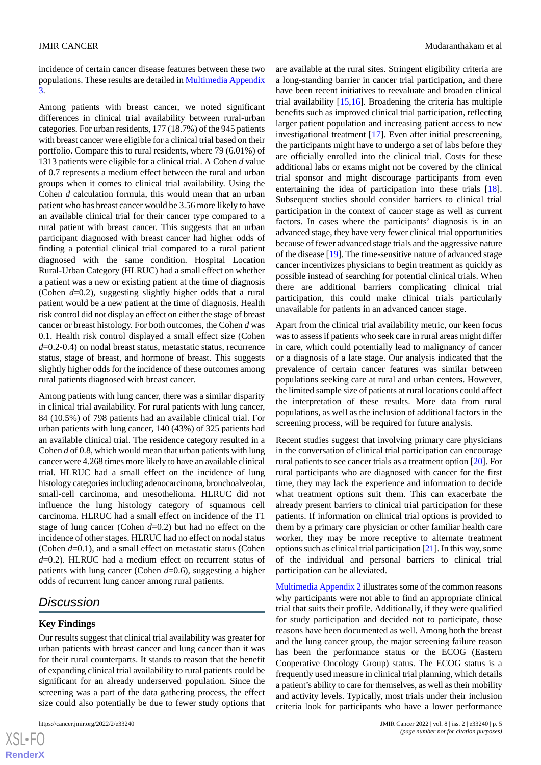incidence of certain cancer disease features between these two populations. These results are detailed in [Multimedia Appendix](#page-5-5) [3.](#page-5-5)

Among patients with breast cancer, we noted significant differences in clinical trial availability between rural-urban categories. For urban residents, 177 (18.7%) of the 945 patients with breast cancer were eligible for a clinical trial based on their portfolio. Compare this to rural residents, where 79 (6.01%) of 1313 patients were eligible for a clinical trial. A Cohen *d* value of 0.7 represents a medium effect between the rural and urban groups when it comes to clinical trial availability. Using the Cohen *d* calculation formula, this would mean that an urban patient who has breast cancer would be 3.56 more likely to have an available clinical trial for their cancer type compared to a rural patient with breast cancer. This suggests that an urban participant diagnosed with breast cancer had higher odds of finding a potential clinical trial compared to a rural patient diagnosed with the same condition. Hospital Location Rural-Urban Category (HLRUC) had a small effect on whether a patient was a new or existing patient at the time of diagnosis (Cohen *d*=0.2), suggesting slightly higher odds that a rural patient would be a new patient at the time of diagnosis. Health risk control did not display an effect on either the stage of breast cancer or breast histology. For both outcomes, the Cohen *d* was 0.1. Health risk control displayed a small effect size (Cohen *d*=0.2-0.4) on nodal breast status, metastatic status, recurrence status, stage of breast, and hormone of breast. This suggests slightly higher odds for the incidence of these outcomes among rural patients diagnosed with breast cancer.

Among patients with lung cancer, there was a similar disparity in clinical trial availability. For rural patients with lung cancer, 84 (10.5%) of 798 patients had an available clinical trial. For urban patients with lung cancer, 140 (43%) of 325 patients had an available clinical trial. The residence category resulted in a Cohen *d* of 0.8, which would mean that urban patients with lung cancer were 4.268 times more likely to have an available clinical trial. HLRUC had a small effect on the incidence of lung histology categories including adenocarcinoma, bronchoalveolar, small-cell carcinoma, and mesothelioma. HLRUC did not influence the lung histology category of squamous cell carcinoma. HLRUC had a small effect on incidence of the T1 stage of lung cancer (Cohen *d*=0.2) but had no effect on the incidence of other stages. HLRUC had no effect on nodal status (Cohen *d*=0.1), and a small effect on metastatic status (Cohen *d*=0.2). HLRUC had a medium effect on recurrent status of patients with lung cancer (Cohen *d*=0.6), suggesting a higher odds of recurrent lung cancer among rural patients.

## *Discussion*

## **Key Findings**

 $XS$ -FO **[RenderX](http://www.renderx.com/)**

Our results suggest that clinical trial availability was greater for urban patients with breast cancer and lung cancer than it was for their rural counterparts. It stands to reason that the benefit of expanding clinical trial availability to rural patients could be significant for an already underserved population. Since the screening was a part of the data gathering process, the effect size could also potentially be due to fewer study options that

are available at the rural sites. Stringent eligibility criteria are a long-standing barrier in cancer trial participation, and there have been recent initiatives to reevaluate and broaden clinical trial availability [\[15](#page-6-11),[16\]](#page-6-12). Broadening the criteria has multiple benefits such as improved clinical trial participation, reflecting larger patient population and increasing patient access to new investigational treatment [\[17](#page-6-13)]. Even after initial prescreening, the participants might have to undergo a set of labs before they are officially enrolled into the clinical trial. Costs for these additional labs or exams might not be covered by the clinical trial sponsor and might discourage participants from even entertaining the idea of participation into these trials [[18\]](#page-6-14). Subsequent studies should consider barriers to clinical trial participation in the context of cancer stage as well as current factors. In cases where the participants' diagnosis is in an advanced stage, they have very fewer clinical trial opportunities because of fewer advanced stage trials and the aggressive nature of the disease [\[19](#page-6-15)]. The time-sensitive nature of advanced stage cancer incentivizes physicians to begin treatment as quickly as possible instead of searching for potential clinical trials. When there are additional barriers complicating clinical trial participation, this could make clinical trials particularly unavailable for patients in an advanced cancer stage.

Apart from the clinical trial availability metric, our keen focus was to assess if patients who seek care in rural areas might differ in care, which could potentially lead to malignancy of cancer or a diagnosis of a late stage. Our analysis indicated that the prevalence of certain cancer features was similar between populations seeking care at rural and urban centers. However, the limited sample size of patients at rural locations could affect the interpretation of these results. More data from rural populations, as well as the inclusion of additional factors in the screening process, will be required for future analysis.

Recent studies suggest that involving primary care physicians in the conversation of clinical trial participation can encourage rural patients to see cancer trials as a treatment option [\[20](#page-6-16)]. For rural participants who are diagnosed with cancer for the first time, they may lack the experience and information to decide what treatment options suit them. This can exacerbate the already present barriers to clinical trial participation for these patients. If information on clinical trial options is provided to them by a primary care physician or other familiar health care worker, they may be more receptive to alternate treatment options such as clinical trial participation [\[21\]](#page-6-17). In this way, some of the individual and personal barriers to clinical trial participation can be alleviated.

[Multimedia Appendix 2](#page-5-4) illustrates some of the common reasons why participants were not able to find an appropriate clinical trial that suits their profile. Additionally, if they were qualified for study participation and decided not to participate, those reasons have been documented as well. Among both the breast and the lung cancer group, the major screening failure reason has been the performance status or the ECOG (Eastern Cooperative Oncology Group) status. The ECOG status is a frequently used measure in clinical trial planning, which details a patient's ability to care for themselves, as well as their mobility and activity levels. Typically, most trials under their inclusion criteria look for participants who have a lower performance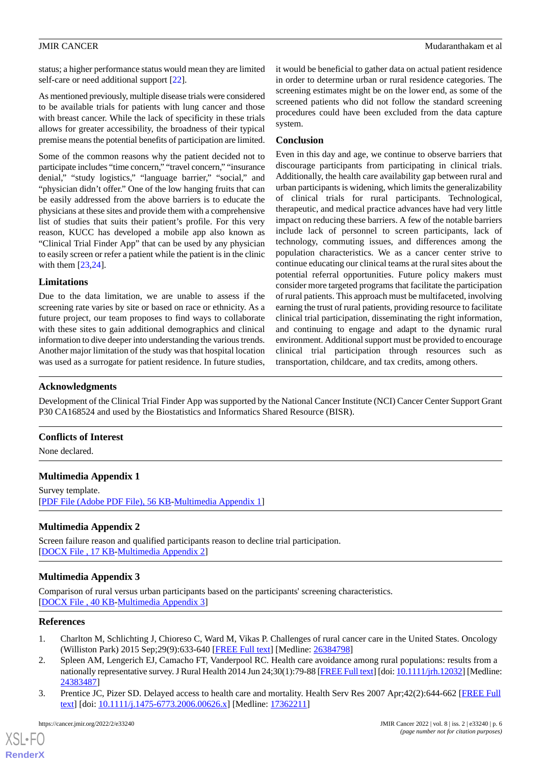status; a higher performance status would mean they are limited self-care or need additional support [[22\]](#page-6-18).

As mentioned previously, multiple disease trials were considered to be available trials for patients with lung cancer and those with breast cancer. While the lack of specificity in these trials allows for greater accessibility, the broadness of their typical premise means the potential benefits of participation are limited.

Some of the common reasons why the patient decided not to participate includes "time concern," "travel concern," "insurance denial," "study logistics," "language barrier," "social," and "physician didn't offer." One of the low hanging fruits that can be easily addressed from the above barriers is to educate the physicians at these sites and provide them with a comprehensive list of studies that suits their patient's profile. For this very reason, KUCC has developed a mobile app also known as "Clinical Trial Finder App" that can be used by any physician to easily screen or refer a patient while the patient is in the clinic with them [[23,](#page-6-19)[24](#page-6-20)].

### **Limitations**

Due to the data limitation, we are unable to assess if the screening rate varies by site or based on race or ethnicity. As a future project, our team proposes to find ways to collaborate with these sites to gain additional demographics and clinical information to dive deeper into understanding the various trends. Another major limitation of the study was that hospital location was used as a surrogate for patient residence. In future studies,

it would be beneficial to gather data on actual patient residence in order to determine urban or rural residence categories. The screening estimates might be on the lower end, as some of the screened patients who did not follow the standard screening procedures could have been excluded from the data capture system.

## **Conclusion**

Even in this day and age, we continue to observe barriers that discourage participants from participating in clinical trials. Additionally, the health care availability gap between rural and urban participants is widening, which limits the generalizability of clinical trials for rural participants. Technological, therapeutic, and medical practice advances have had very little impact on reducing these barriers. A few of the notable barriers include lack of personnel to screen participants, lack of technology, commuting issues, and differences among the population characteristics. We as a cancer center strive to continue educating our clinical teams at the rural sites about the potential referral opportunities. Future policy makers must consider more targeted programs that facilitate the participation of rural patients. This approach must be multifaceted, involving earning the trust of rural patients, providing resource to facilitate clinical trial participation, disseminating the right information, and continuing to engage and adapt to the dynamic rural environment. Additional support must be provided to encourage clinical trial participation through resources such as transportation, childcare, and tax credits, among others.

## **Acknowledgments**

Development of the Clinical Trial Finder App was supported by the National Cancer Institute (NCI) Cancer Center Support Grant P30 CA168524 and used by the Biostatistics and Informatics Shared Resource (BISR).

## <span id="page-5-3"></span>**Conflicts of Interest**

None declared.

## <span id="page-5-4"></span>**Multimedia Appendix 1**

Survey template. [[PDF File \(Adobe PDF File\), 56 KB](https://jmir.org/api/download?alt_name=cancer_v8i2e33240_app1.pdf&filename=a050d6d77d69d897b2e3441145e3edab.pdf)-[Multimedia Appendix 1\]](https://jmir.org/api/download?alt_name=cancer_v8i2e33240_app1.pdf&filename=a050d6d77d69d897b2e3441145e3edab.pdf)

## <span id="page-5-5"></span>**Multimedia Appendix 2**

Screen failure reason and qualified participants reason to decline trial participation. [[DOCX File , 17 KB](https://jmir.org/api/download?alt_name=cancer_v8i2e33240_app2.docx&filename=9a51acfffb64c99323267f602e82ac50.docx)-[Multimedia Appendix 2\]](https://jmir.org/api/download?alt_name=cancer_v8i2e33240_app2.docx&filename=9a51acfffb64c99323267f602e82ac50.docx)

## <span id="page-5-0"></span>**Multimedia Appendix 3**

<span id="page-5-1"></span>Comparison of rural versus urban participants based on the participants' screening characteristics. [[DOCX File , 40 KB](https://jmir.org/api/download?alt_name=cancer_v8i2e33240_app3.docx&filename=37a87ceda619db2e30c7af4479880ef0.docx)-[Multimedia Appendix 3\]](https://jmir.org/api/download?alt_name=cancer_v8i2e33240_app3.docx&filename=37a87ceda619db2e30c7af4479880ef0.docx)

## <span id="page-5-2"></span>**References**

[XSL](http://www.w3.org/Style/XSL)•FO **[RenderX](http://www.renderx.com/)**

- 1. Charlton M, Schlichting J, Chioreso C, Ward M, Vikas P. Challenges of rural cancer care in the United States. Oncology (Williston Park) 2015 Sep;29(9):633-640 [\[FREE Full text\]](http://www.cancernetwork.com/oncology-journal/challenges-rural-cancer-care-united-states) [Medline: [26384798](http://www.ncbi.nlm.nih.gov/entrez/query.fcgi?cmd=Retrieve&db=PubMed&list_uids=26384798&dopt=Abstract)]
- 2. Spleen AM, Lengerich EJ, Camacho FT, Vanderpool RC. Health care avoidance among rural populations: results from a nationally representative survey. J Rural Health 2014 Jun 24;30(1):79-88 [[FREE Full text\]](http://europepmc.org/abstract/MED/24383487) [doi: [10.1111/jrh.12032\]](http://dx.doi.org/10.1111/jrh.12032) [Medline: [24383487](http://www.ncbi.nlm.nih.gov/entrez/query.fcgi?cmd=Retrieve&db=PubMed&list_uids=24383487&dopt=Abstract)]
- 3. Prentice JC, Pizer SD. Delayed access to health care and mortality. Health Serv Res 2007 Apr;42(2):644-662 [\[FREE Full](http://europepmc.org/abstract/MED/17362211) [text](http://europepmc.org/abstract/MED/17362211)] [doi: [10.1111/j.1475-6773.2006.00626.x\]](http://dx.doi.org/10.1111/j.1475-6773.2006.00626.x) [Medline: [17362211\]](http://www.ncbi.nlm.nih.gov/entrez/query.fcgi?cmd=Retrieve&db=PubMed&list_uids=17362211&dopt=Abstract)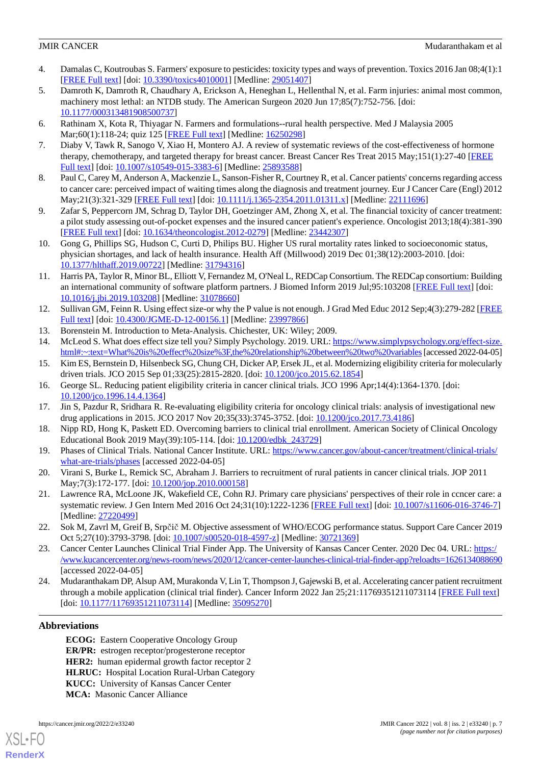- <span id="page-6-0"></span>4. Damalas C, Koutroubas S. Farmers' exposure to pesticides: toxicity types and ways of prevention. Toxics 2016 Jan 08;4(1):1 [[FREE Full text](https://www.mdpi.com/resolver?pii=toxics4010001)] [doi: [10.3390/toxics4010001\]](http://dx.doi.org/10.3390/toxics4010001) [Medline: [29051407](http://www.ncbi.nlm.nih.gov/entrez/query.fcgi?cmd=Retrieve&db=PubMed&list_uids=29051407&dopt=Abstract)]
- <span id="page-6-1"></span>5. Damroth K, Damroth R, Chaudhary A, Erickson A, Heneghan L, Hellenthal N, et al. Farm injuries: animal most common, machinery most lethal: an NTDB study. The American Surgeon 2020 Jun 17;85(7):752-756. [doi: [10.1177/000313481908500737\]](http://dx.doi.org/10.1177/000313481908500737)
- <span id="page-6-3"></span><span id="page-6-2"></span>6. Rathinam X, Kota R, Thiyagar N. Farmers and formulations--rural health perspective. Med J Malaysia 2005 Mar;60(1):118-24; quiz 125 [[FREE Full text\]](http://www.e-mjm.org/2005/v60n1/Rural_Health.pdf) [Medline: [16250298\]](http://www.ncbi.nlm.nih.gov/entrez/query.fcgi?cmd=Retrieve&db=PubMed&list_uids=16250298&dopt=Abstract)
- <span id="page-6-4"></span>7. Diaby V, Tawk R, Sanogo V, Xiao H, Montero AJ. A review of systematic reviews of the cost-effectiveness of hormone therapy, chemotherapy, and targeted therapy for breast cancer. Breast Cancer Res Treat 2015 May;151(1):27-40 [\[FREE](http://europepmc.org/abstract/MED/25893588) [Full text\]](http://europepmc.org/abstract/MED/25893588) [doi: [10.1007/s10549-015-3383-6](http://dx.doi.org/10.1007/s10549-015-3383-6)] [Medline: [25893588](http://www.ncbi.nlm.nih.gov/entrez/query.fcgi?cmd=Retrieve&db=PubMed&list_uids=25893588&dopt=Abstract)]
- <span id="page-6-5"></span>8. Paul C, Carey M, Anderson A, Mackenzie L, Sanson-Fisher R, Courtney R, et al. Cancer patients' concerns regarding access to cancer care: perceived impact of waiting times along the diagnosis and treatment journey. Eur J Cancer Care (Engl) 2012 May;21(3):321-329 [\[FREE Full text\]](https://doi.org/10.1111/j.1365-2354.2011.01311.x) [doi: [10.1111/j.1365-2354.2011.01311.x](http://dx.doi.org/10.1111/j.1365-2354.2011.01311.x)] [Medline: [22111696](http://www.ncbi.nlm.nih.gov/entrez/query.fcgi?cmd=Retrieve&db=PubMed&list_uids=22111696&dopt=Abstract)]
- <span id="page-6-6"></span>9. Zafar S, Peppercorn JM, Schrag D, Taylor DH, Goetzinger AM, Zhong X, et al. The financial toxicity of cancer treatment: a pilot study assessing out-of-pocket expenses and the insured cancer patient's experience. Oncologist 2013;18(4):381-390 [[FREE Full text](https://academic.oup.com/oncolo/article-lookup/doi/10.1634/theoncologist.2012-0279)] [doi: [10.1634/theoncologist.2012-0279](http://dx.doi.org/10.1634/theoncologist.2012-0279)] [Medline: [23442307](http://www.ncbi.nlm.nih.gov/entrez/query.fcgi?cmd=Retrieve&db=PubMed&list_uids=23442307&dopt=Abstract)]
- <span id="page-6-7"></span>10. Gong G, Phillips SG, Hudson C, Curti D, Philips BU. Higher US rural mortality rates linked to socioeconomic status, physician shortages, and lack of health insurance. Health Aff (Millwood) 2019 Dec 01;38(12):2003-2010. [doi: [10.1377/hlthaff.2019.00722](http://dx.doi.org/10.1377/hlthaff.2019.00722)] [Medline: [31794316\]](http://www.ncbi.nlm.nih.gov/entrez/query.fcgi?cmd=Retrieve&db=PubMed&list_uids=31794316&dopt=Abstract)
- <span id="page-6-8"></span>11. Harris PA, Taylor R, Minor BL, Elliott V, Fernandez M, O'Neal L, REDCap Consortium. The REDCap consortium: Building an international community of software platform partners. J Biomed Inform 2019 Jul;95:103208 [[FREE Full text](https://linkinghub.elsevier.com/retrieve/pii/S1532-0464(19)30126-1)] [doi: [10.1016/j.jbi.2019.103208\]](http://dx.doi.org/10.1016/j.jbi.2019.103208) [Medline: [31078660](http://www.ncbi.nlm.nih.gov/entrez/query.fcgi?cmd=Retrieve&db=PubMed&list_uids=31078660&dopt=Abstract)]
- <span id="page-6-10"></span><span id="page-6-9"></span>12. Sullivan GM, Feinn R. Using effect size-or why the P value is not enough. J Grad Med Educ 2012 Sep;4(3):279-282 [\[FREE](http://europepmc.org/abstract/MED/23997866) [Full text\]](http://europepmc.org/abstract/MED/23997866) [doi: [10.4300/JGME-D-12-00156.1](http://dx.doi.org/10.4300/JGME-D-12-00156.1)] [Medline: [23997866](http://www.ncbi.nlm.nih.gov/entrez/query.fcgi?cmd=Retrieve&db=PubMed&list_uids=23997866&dopt=Abstract)]
- <span id="page-6-11"></span>13. Borenstein M. Introduction to Meta-Analysis. Chichester, UK: Wiley; 2009.
- <span id="page-6-12"></span>14. McLeod S. What does effect size tell you? Simply Psychology. 2019. URL: [https://www.simplypsychology.org/effect-size.](https://www.simplypsychology.org/effect-size.html#:~:text=What%20is%20effect%20size%3F,the%20relationship%20between%20two%20variables) [html#:~:text=What%20is%20effect%20size%3F,the%20relationship%20between%20two%20variables](https://www.simplypsychology.org/effect-size.html#:~:text=What%20is%20effect%20size%3F,the%20relationship%20between%20two%20variables) [accessed 2022-04-05]
- <span id="page-6-13"></span>15. Kim ES, Bernstein D, Hilsenbeck SG, Chung CH, Dicker AP, Ersek JL, et al. Modernizing eligibility criteria for molecularly driven trials. JCO 2015 Sep 01;33(25):2815-2820. [doi: [10.1200/jco.2015.62.1854](http://dx.doi.org/10.1200/jco.2015.62.1854)]
- <span id="page-6-14"></span>16. George SL. Reducing patient eligibility criteria in cancer clinical trials. JCO 1996 Apr;14(4):1364-1370. [doi: [10.1200/jco.1996.14.4.1364](http://dx.doi.org/10.1200/jco.1996.14.4.1364)]
- <span id="page-6-15"></span>17. Jin S, Pazdur R, Sridhara R. Re-evaluating eligibility criteria for oncology clinical trials: analysis of investigational new drug applications in 2015. JCO 2017 Nov 20;35(33):3745-3752. [doi: [10.1200/jco.2017.73.4186\]](http://dx.doi.org/10.1200/jco.2017.73.4186)
- <span id="page-6-16"></span>18. Nipp RD, Hong K, Paskett ED. Overcoming barriers to clinical trial enrollment. American Society of Clinical Oncology Educational Book 2019 May(39):105-114. [doi: [10.1200/edbk\\_243729\]](http://dx.doi.org/10.1200/edbk_243729)
- <span id="page-6-17"></span>19. Phases of Clinical Trials. National Cancer Institute. URL: [https://www.cancer.gov/about-cancer/treatment/clinical-trials/](https://www.cancer.gov/about-cancer/treatment/clinical-trials/what-are-trials/phases) [what-are-trials/phases](https://www.cancer.gov/about-cancer/treatment/clinical-trials/what-are-trials/phases) [accessed 2022-04-05]
- <span id="page-6-18"></span>20. Virani S, Burke L, Remick SC, Abraham J. Barriers to recruitment of rural patients in cancer clinical trials. JOP 2011 May;7(3):172-177. [doi: [10.1200/jop.2010.000158\]](http://dx.doi.org/10.1200/jop.2010.000158)
- <span id="page-6-19"></span>21. Lawrence RA, McLoone JK, Wakefield CE, Cohn RJ. Primary care physicians' perspectives of their role in ccncer care: a systematic review. J Gen Intern Med 2016 Oct 24;31(10):1222-1236 [[FREE Full text](http://europepmc.org/abstract/MED/27220499)] [doi: [10.1007/s11606-016-3746-7\]](http://dx.doi.org/10.1007/s11606-016-3746-7) [Medline: [27220499](http://www.ncbi.nlm.nih.gov/entrez/query.fcgi?cmd=Retrieve&db=PubMed&list_uids=27220499&dopt=Abstract)]
- <span id="page-6-20"></span>22. Sok M, Zavrl M, Greif B, Srpčič M. Objective assessment of WHO/ECOG performance status. Support Care Cancer 2019 Oct 5;27(10):3793-3798. [doi: [10.1007/s00520-018-4597-z](http://dx.doi.org/10.1007/s00520-018-4597-z)] [Medline: [30721369\]](http://www.ncbi.nlm.nih.gov/entrez/query.fcgi?cmd=Retrieve&db=PubMed&list_uids=30721369&dopt=Abstract)
- 23. Cancer Center Launches Clinical Trial Finder App. The University of Kansas Cancer Center. 2020 Dec 04. URL: [https:/](https://www.kucancercenter.org/news-room/news/2020/12/cancer-center-launches-clinical-trial-finder-app?reloadts=1626134088690) [/www.kucancercenter.org/news-room/news/2020/12/cancer-center-launches-clinical-trial-finder-app?reloadts=1626134088690](https://www.kucancercenter.org/news-room/news/2020/12/cancer-center-launches-clinical-trial-finder-app?reloadts=1626134088690) [accessed 2022-04-05]
- 24. Mudaranthakam DP, Alsup AM, Murakonda V, Lin T, Thompson J, Gajewski B, et al. Accelerating cancer patient recruitment through a mobile application (clinical trial finder). Cancer Inform 2022 Jan 25;21:11769351211073114 [[FREE Full text](https://journals.sagepub.com/doi/10.1177/11769351211073114?url_ver=Z39.88-2003&rfr_id=ori:rid:crossref.org&rfr_dat=cr_pub%3dpubmed)] [doi: [10.1177/11769351211073114](http://dx.doi.org/10.1177/11769351211073114)] [Medline: [35095270\]](http://www.ncbi.nlm.nih.gov/entrez/query.fcgi?cmd=Retrieve&db=PubMed&list_uids=35095270&dopt=Abstract)

## **Abbreviations**

**ECOG:** Eastern Cooperative Oncology Group **ER/PR:** estrogen receptor/progesterone receptor **HER2:** human epidermal growth factor receptor 2 **HLRUC:** Hospital Location Rural-Urban Category **KUCC:** University of Kansas Cancer Center **MCA:** Masonic Cancer Alliance

[XSL](http://www.w3.org/Style/XSL)•FO **[RenderX](http://www.renderx.com/)**